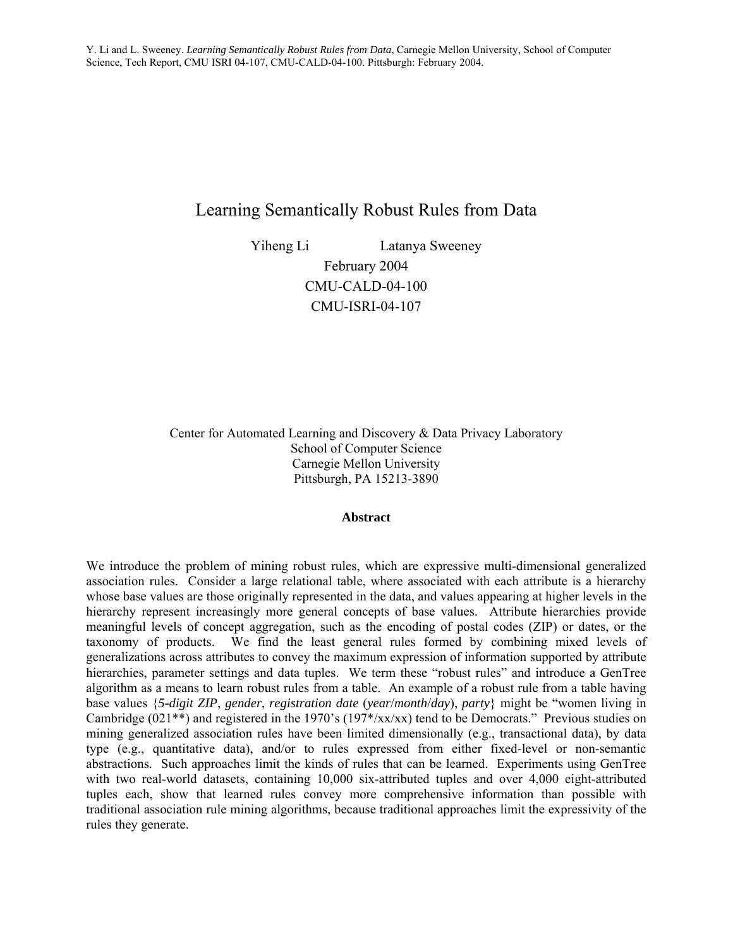# Learning Semantically Robust Rules from Data

Yiheng Li Latanya Sweeney February 2004 CMU-CALD-04-100 CMU-ISRI-04-107

Center for Automated Learning and Discovery & Data Privacy Laboratory School of Computer Science Carnegie Mellon University Pittsburgh, PA 15213-3890

### **Abstract**

We introduce the problem of mining robust rules, which are expressive multi-dimensional generalized association rules. Consider a large relational table, where associated with each attribute is a hierarchy whose base values are those originally represented in the data, and values appearing at higher levels in the hierarchy represent increasingly more general concepts of base values. Attribute hierarchies provide meaningful levels of concept aggregation, such as the encoding of postal codes (ZIP) or dates, or the taxonomy of products. We find the least general rules formed by combining mixed levels of generalizations across attributes to convey the maximum expression of information supported by attribute hierarchies, parameter settings and data tuples. We term these "robust rules" and introduce a GenTree algorithm as a means to learn robust rules from a table. An example of a robust rule from a table having base values {*5-digit ZIP*, *gender*, *registration date* (*year*/*month*/*day*), *party*} might be "women living in Cambridge (021<sup>\*\*</sup>) and registered in the 1970's (197<sup>\*</sup>/xx/xx) tend to be Democrats." Previous studies on mining generalized association rules have been limited dimensionally (e.g., transactional data), by data type (e.g., quantitative data), and/or to rules expressed from either fixed-level or non-semantic abstractions. Such approaches limit the kinds of rules that can be learned. Experiments using GenTree with two real-world datasets, containing 10,000 six-attributed tuples and over 4,000 eight-attributed tuples each, show that learned rules convey more comprehensive information than possible with traditional association rule mining algorithms, because traditional approaches limit the expressivity of the rules they generate.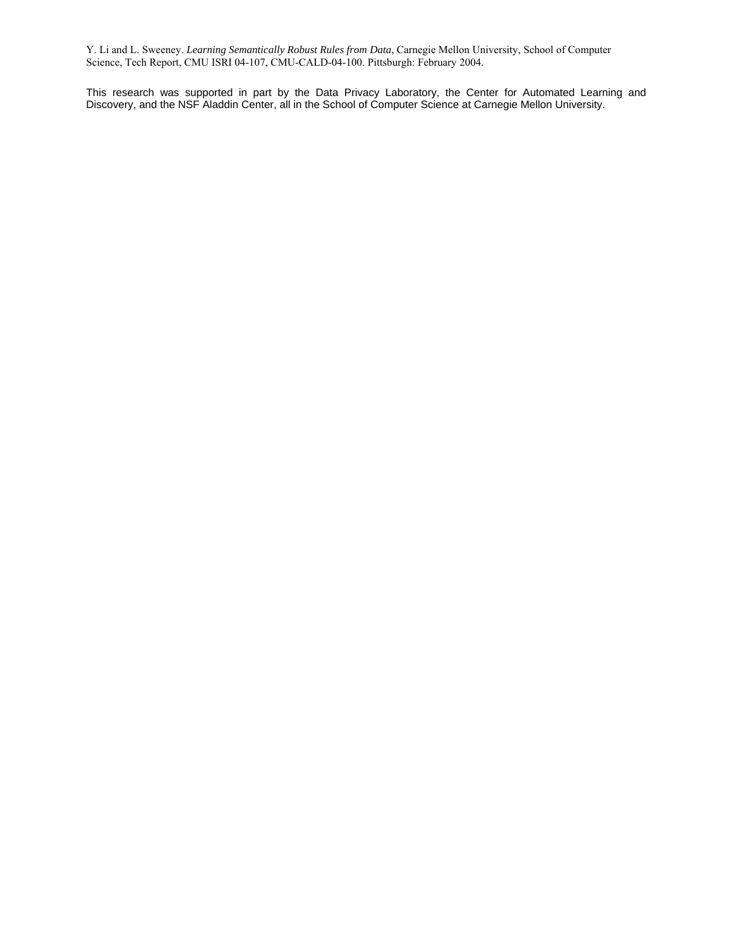This research was supported in part by the Data Privacy Laboratory, the Center for Automated Learning and Discovery, and the NSF Aladdin Center, all in the School of Computer Science at Carnegie Mellon University.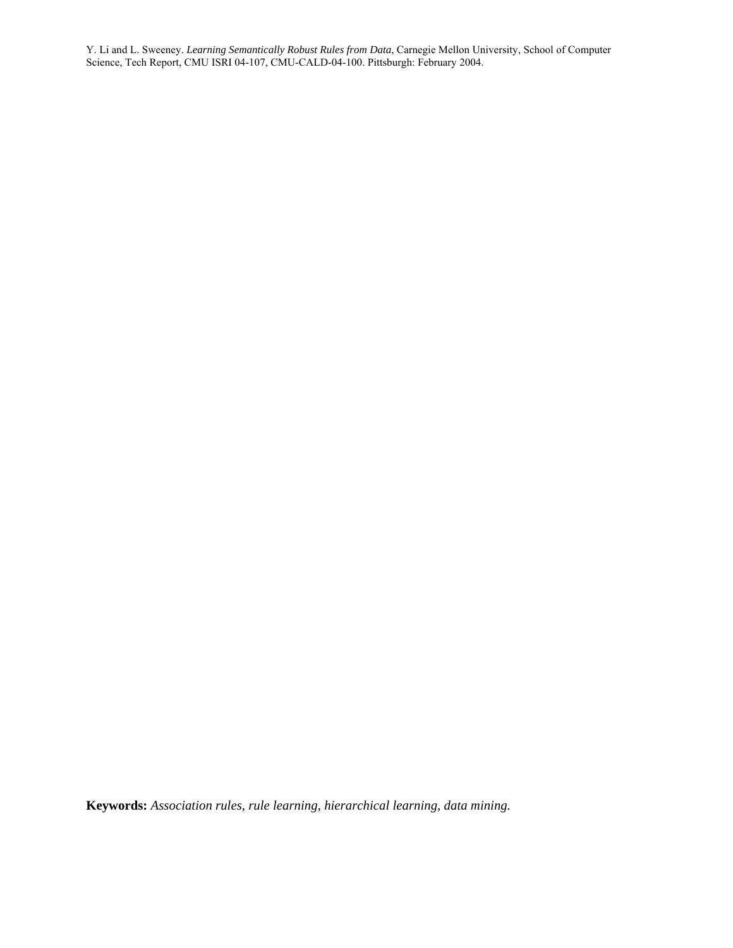**Keywords:** *Association rules, rule learning, hierarchical learning, data mining.*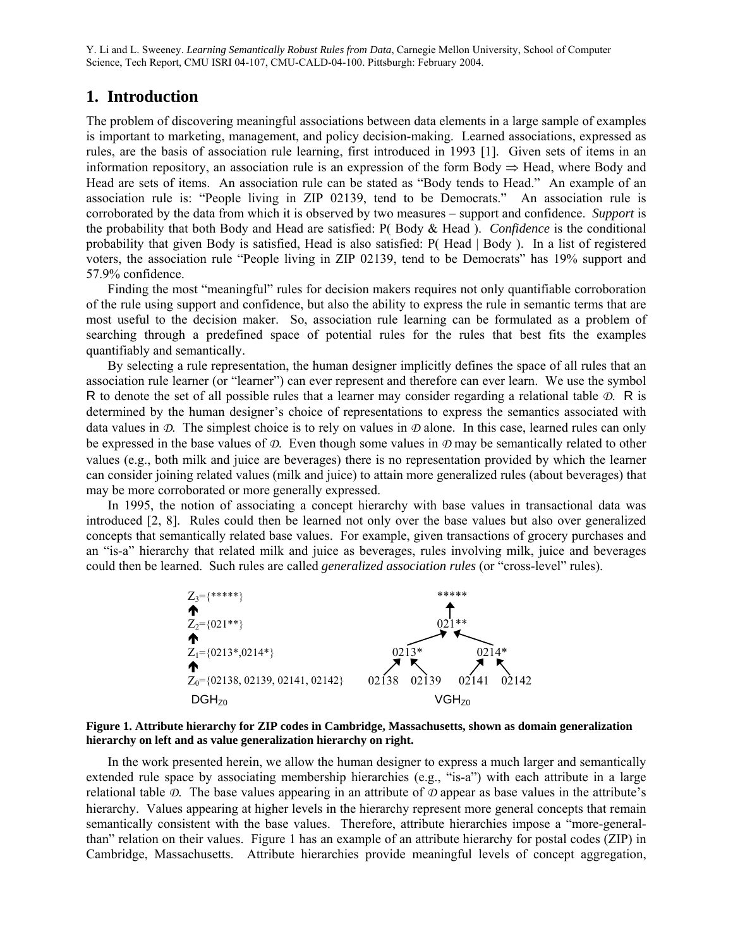# **1. Introduction**

The problem of discovering meaningful associations between data elements in a large sample of examples is important to marketing, management, and policy decision-making. Learned associations, expressed as rules, are the basis of association rule learning, first introduced in 1993 [1]. Given sets of items in an information repository, an association rule is an expression of the form Body  $\Rightarrow$  Head, where Body and Head are sets of items. An association rule can be stated as "Body tends to Head." An example of an association rule is: "People living in ZIP 02139, tend to be Democrats." An association rule is corroborated by the data from which it is observed by two measures – support and confidence. *Support* is the probability that both Body and Head are satisfied: P( Body & Head ). *Confidence* is the conditional probability that given Body is satisfied, Head is also satisfied: P( Head | Body ). In a list of registered voters, the association rule "People living in ZIP 02139, tend to be Democrats" has 19% support and 57.9% confidence.

 Finding the most "meaningful" rules for decision makers requires not only quantifiable corroboration of the rule using support and confidence, but also the ability to express the rule in semantic terms that are most useful to the decision maker. So, association rule learning can be formulated as a problem of searching through a predefined space of potential rules for the rules that best fits the examples quantifiably and semantically.

 By selecting a rule representation, the human designer implicitly defines the space of all rules that an association rule learner (or "learner") can ever represent and therefore can ever learn. We use the symbol R to denote the set of all possible rules that a learner may consider regarding a relational table *D*. R is determined by the human designer's choice of representations to express the semantics associated with data values in *D*. The simplest choice is to rely on values in *D* alone. In this case, learned rules can only be expressed in the base values of *D*. Even though some values in *D* may be semantically related to other values (e.g., both milk and juice are beverages) there is no representation provided by which the learner can consider joining related values (milk and juice) to attain more generalized rules (about beverages) that may be more corroborated or more generally expressed.

 In 1995, the notion of associating a concept hierarchy with base values in transactional data was introduced [2, 8]. Rules could then be learned not only over the base values but also over generalized concepts that semantically related base values. For example, given transactions of grocery purchases and an "is-a" hierarchy that related milk and juice as beverages, rules involving milk, juice and beverages could then be learned. Such rules are called *generalized association rules* (or "cross-level" rules).



**Figure 1. Attribute hierarchy for ZIP codes in Cambridge, Massachusetts, shown as domain generalization hierarchy on left and as value generalization hierarchy on right.** 

 In the work presented herein, we allow the human designer to express a much larger and semantically extended rule space by associating membership hierarchies (e.g., "is-a") with each attribute in a large relational table *D*. The base values appearing in an attribute of *D* appear as base values in the attribute's hierarchy. Values appearing at higher levels in the hierarchy represent more general concepts that remain semantically consistent with the base values. Therefore, attribute hierarchies impose a "more-generalthan" relation on their values. Figure 1 has an example of an attribute hierarchy for postal codes (ZIP) in Cambridge, Massachusetts. Attribute hierarchies provide meaningful levels of concept aggregation,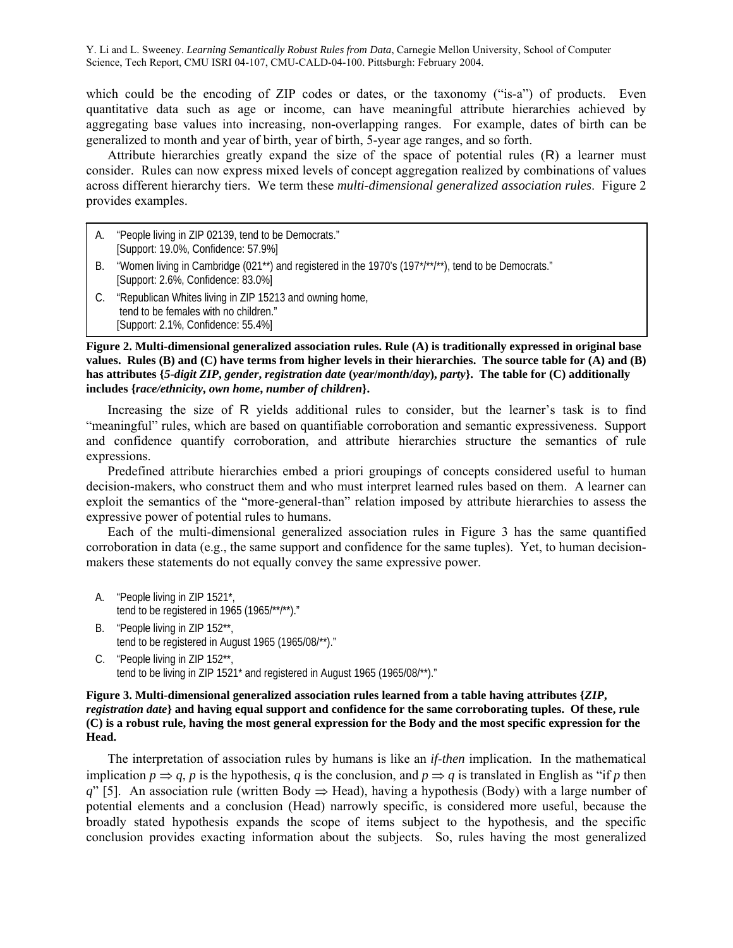which could be the encoding of ZIP codes or dates, or the taxonomy ("is-a") of products. Even quantitative data such as age or income, can have meaningful attribute hierarchies achieved by aggregating base values into increasing, non-overlapping ranges. For example, dates of birth can be generalized to month and year of birth, year of birth, 5-year age ranges, and so forth.

 Attribute hierarchies greatly expand the size of the space of potential rules (R) a learner must consider. Rules can now express mixed levels of concept aggregation realized by combinations of values across different hierarchy tiers. We term these *multi-dimensional generalized association rules*. Figure 2 provides examples.

- A. "People living in ZIP 02139, tend to be Democrats." [Support: 19.0%, Confidence: 57.9%]
- B. "Women living in Cambridge (021<sup>\*\*</sup>) and registered in the 1970's (197<sup>\*</sup>/\*\*/\*\*), tend to be Democrats." [Support: 2.6%, Confidence: 83.0%]
- C. "Republican Whites living in ZIP 15213 and owning home, tend to be females with no children." [Support: 2.1%, Confidence: 55.4%]

**Figure 2. Multi-dimensional generalized association rules. Rule (A) is traditionally expressed in original base values. Rules (B) and (C) have terms from higher levels in their hierarchies. The source table for (A) and (B) has attributes {***5-digit ZIP***,** *gender***,** *registration date* **(***year***/***month***/***day***),** *party***}. The table for (C) additionally includes {***race/ethnicity***,** *own home***,** *number of children***}.** 

 Increasing the size of R yields additional rules to consider, but the learner's task is to find "meaningful" rules, which are based on quantifiable corroboration and semantic expressiveness. Support and confidence quantify corroboration, and attribute hierarchies structure the semantics of rule expressions.

 Predefined attribute hierarchies embed a priori groupings of concepts considered useful to human decision-makers, who construct them and who must interpret learned rules based on them. A learner can exploit the semantics of the "more-general-than" relation imposed by attribute hierarchies to assess the expressive power of potential rules to humans.

 Each of the multi-dimensional generalized association rules in Figure 3 has the same quantified corroboration in data (e.g., the same support and confidence for the same tuples). Yet, to human decisionmakers these statements do not equally convey the same expressive power.

- A. "People living in ZIP 1521\*, tend to be registered in 1965 (1965/\*\*/\*\*)."
- B. "People living in ZIP 152\*\*, tend to be registered in August 1965 (1965/08/\*\*)."
- C. "People living in ZIP 152\*\*, tend to be living in ZIP 1521\* and registered in August 1965 (1965/08/\*\*)."

## **Figure 3. Multi-dimensional generalized association rules learned from a table having attributes {***ZIP***,** *registration date***} and having equal support and confidence for the same corroborating tuples. Of these, rule (C) is a robust rule, having the most general expression for the Body and the most specific expression for the Head.**

 The interpretation of association rules by humans is like an *if*-*then* implication. In the mathematical implication  $p \Rightarrow q$ , *p* is the hypothesis, *q* is the conclusion, and  $p \Rightarrow q$  is translated in English as "if *p* then *q*" [5]. An association rule (written Body  $\Rightarrow$  Head), having a hypothesis (Body) with a large number of potential elements and a conclusion (Head) narrowly specific, is considered more useful, because the broadly stated hypothesis expands the scope of items subject to the hypothesis, and the specific conclusion provides exacting information about the subjects. So, rules having the most generalized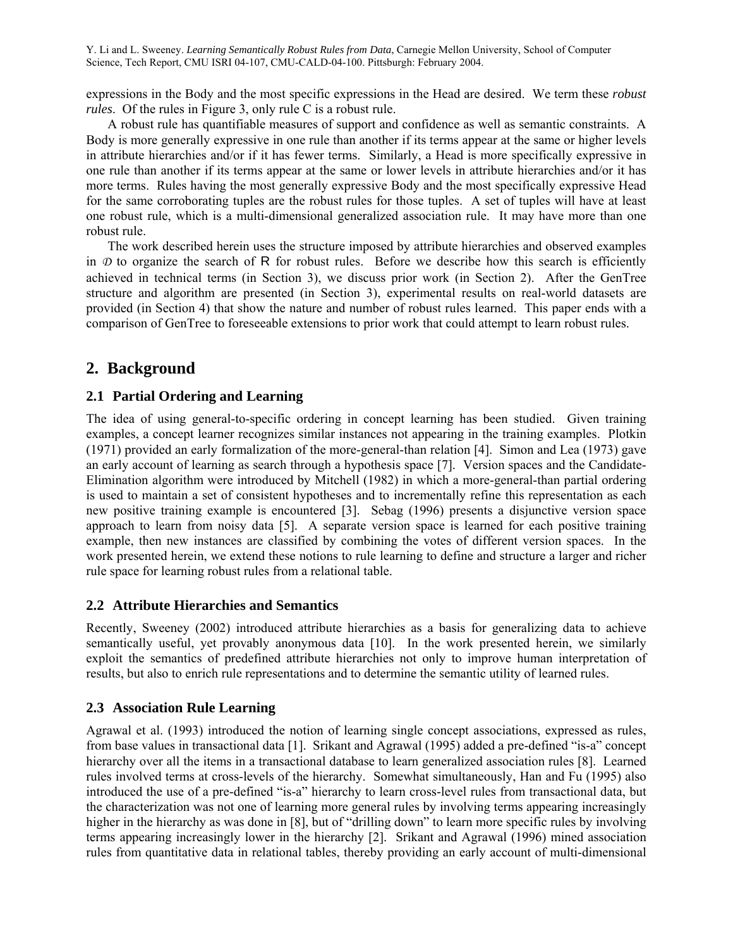expressions in the Body and the most specific expressions in the Head are desired. We term these *robust rules*. Of the rules in Figure 3, only rule C is a robust rule.

 A robust rule has quantifiable measures of support and confidence as well as semantic constraints. A Body is more generally expressive in one rule than another if its terms appear at the same or higher levels in attribute hierarchies and/or if it has fewer terms. Similarly, a Head is more specifically expressive in one rule than another if its terms appear at the same or lower levels in attribute hierarchies and/or it has more terms. Rules having the most generally expressive Body and the most specifically expressive Head for the same corroborating tuples are the robust rules for those tuples. A set of tuples will have at least one robust rule, which is a multi-dimensional generalized association rule. It may have more than one robust rule.

 The work described herein uses the structure imposed by attribute hierarchies and observed examples in  $\mathcal D$  to organize the search of R for robust rules. Before we describe how this search is efficiently achieved in technical terms (in Section 3), we discuss prior work (in Section 2). After the GenTree structure and algorithm are presented (in Section 3), experimental results on real-world datasets are provided (in Section 4) that show the nature and number of robust rules learned. This paper ends with a comparison of GenTree to foreseeable extensions to prior work that could attempt to learn robust rules.

# **2. Background**

## **2.1 Partial Ordering and Learning**

The idea of using general-to-specific ordering in concept learning has been studied. Given training examples, a concept learner recognizes similar instances not appearing in the training examples. Plotkin (1971) provided an early formalization of the more-general-than relation [4]. Simon and Lea (1973) gave an early account of learning as search through a hypothesis space [7]. Version spaces and the Candidate-Elimination algorithm were introduced by Mitchell (1982) in which a more-general-than partial ordering is used to maintain a set of consistent hypotheses and to incrementally refine this representation as each new positive training example is encountered [3]. Sebag (1996) presents a disjunctive version space approach to learn from noisy data [5]. A separate version space is learned for each positive training example, then new instances are classified by combining the votes of different version spaces. In the work presented herein, we extend these notions to rule learning to define and structure a larger and richer rule space for learning robust rules from a relational table.

## **2.2 Attribute Hierarchies and Semantics**

Recently, Sweeney (2002) introduced attribute hierarchies as a basis for generalizing data to achieve semantically useful, yet provably anonymous data [10]. In the work presented herein, we similarly exploit the semantics of predefined attribute hierarchies not only to improve human interpretation of results, but also to enrich rule representations and to determine the semantic utility of learned rules.

## **2.3 Association Rule Learning**

Agrawal et al. (1993) introduced the notion of learning single concept associations, expressed as rules, from base values in transactional data [1]. Srikant and Agrawal (1995) added a pre-defined "is-a" concept hierarchy over all the items in a transactional database to learn generalized association rules [8]. Learned rules involved terms at cross-levels of the hierarchy. Somewhat simultaneously, Han and Fu (1995) also introduced the use of a pre-defined "is-a" hierarchy to learn cross-level rules from transactional data, but the characterization was not one of learning more general rules by involving terms appearing increasingly higher in the hierarchy as was done in [8], but of "drilling down" to learn more specific rules by involving terms appearing increasingly lower in the hierarchy [2]. Srikant and Agrawal (1996) mined association rules from quantitative data in relational tables, thereby providing an early account of multi-dimensional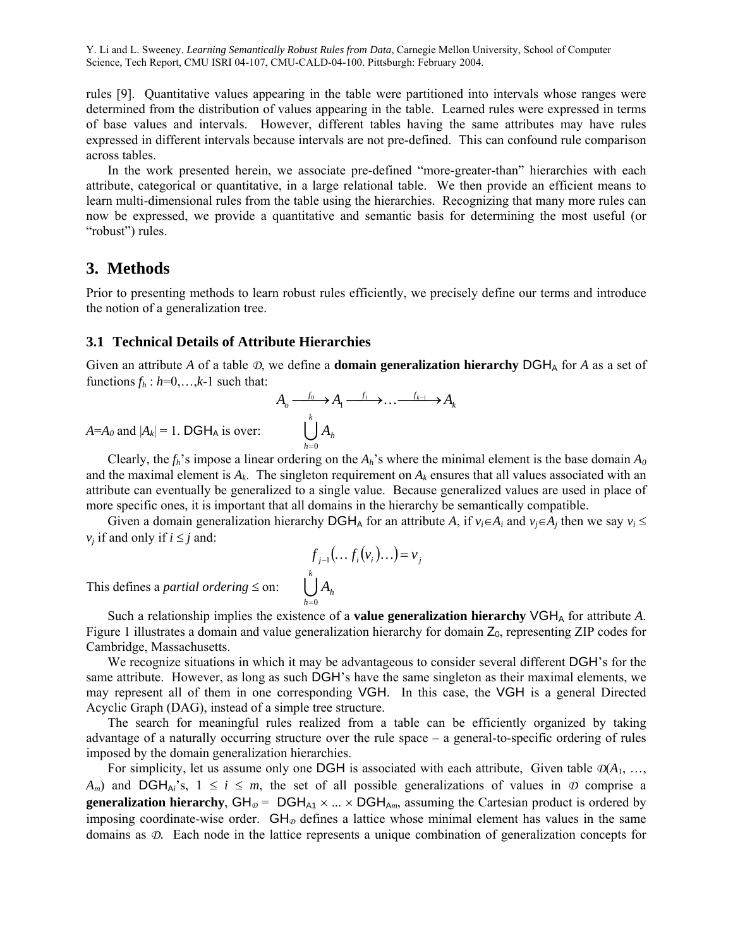rules [9]. Quantitative values appearing in the table were partitioned into intervals whose ranges were determined from the distribution of values appearing in the table. Learned rules were expressed in terms of base values and intervals. However, different tables having the same attributes may have rules expressed in different intervals because intervals are not pre-defined. This can confound rule comparison across tables.

 In the work presented herein, we associate pre-defined "more-greater-than" hierarchies with each attribute, categorical or quantitative, in a large relational table. We then provide an efficient means to learn multi-dimensional rules from the table using the hierarchies. Recognizing that many more rules can now be expressed, we provide a quantitative and semantic basis for determining the most useful (or "robust") rules.

# **3. Methods**

Prior to presenting methods to learn robust rules efficiently, we precisely define our terms and introduce the notion of a generalization tree.

## **3.1 Technical Details of Attribute Hierarchies**

Given an attribute *A* of a table  $\mathcal{D}$ , we define a **domain generalization hierarchy** DGH<sub>A</sub> for *A* as a set of functions  $f_h$  :  $h=0,\ldots,k-1$  such that:

$$
A_o \xrightarrow{f_0} A_1 \xrightarrow{f_1} \dots \xrightarrow{f_{k-1}} A_k
$$

$$
\bigcup_{h=0}^k A_h
$$

 $A = A_0$  and  $|A_k| = 1$ . DGH<sub>A</sub> is over:

Clearly, the  $f_h$ 's impose a linear ordering on the  $A_h$ 's where the minimal element is the base domain  $A_0$ and the maximal element is  $A_k$ . The singleton requirement on  $A_k$  ensures that all values associated with an attribute can eventually be generalized to a single value. Because generalized values are used in place of more specific ones, it is important that all domains in the hierarchy be semantically compatible.

Given a domain generalization hierarchy DGH<sub>A</sub> for an attribute *A*, if  $v_i \in A_i$  and  $v_i \in A_j$  then we say  $v_i \leq$ *v<sub>i</sub>* if and only if  $i \leq j$  and:

$$
f_{j-1}(\ldots f_i(\nu_i)\ldots) = \nu_j
$$
  

$$
\bigcup_{h=0}^k A_h
$$

This defines a *partial ordering*  $\leq$  on:

Such a relationship implies the existence of a **value generalization hierarchy**  $VGH<sub>A</sub>$  for attribute A. Figure 1 illustrates a domain and value generalization hierarchy for domain  $Z_0$ , representing ZIP codes for Cambridge, Massachusetts.

We recognize situations in which it may be advantageous to consider several different DGH's for the same attribute. However, as long as such DGH's have the same singleton as their maximal elements, we may represent all of them in one corresponding VGH. In this case, the VGH is a general Directed Acyclic Graph (DAG), instead of a simple tree structure.

 The search for meaningful rules realized from a table can be efficiently organized by taking advantage of a naturally occurring structure over the rule space – a general-to-specific ordering of rules imposed by the domain generalization hierarchies.

For simplicity, let us assume only one DGH is associated with each attribute, Given table  $\mathcal{D}(A_1, \ldots, A_n)$ *A<sub>m</sub>*) and DGH<sub>Ai</sub>'s,  $1 \le i \le m$ , the set of all possible generalizations of values in  $\Phi$  comprise a **generalization hierarchy**,  $GH_{\mathcal{D}} = DGH_{A1} \times ... \times DGH_{Am}$ , assuming the Cartesian product is ordered by imposing coordinate-wise order.  $GH_{\mathcal{D}}$  defines a lattice whose minimal element has values in the same domains as *D*. Each node in the lattice represents a unique combination of generalization concepts for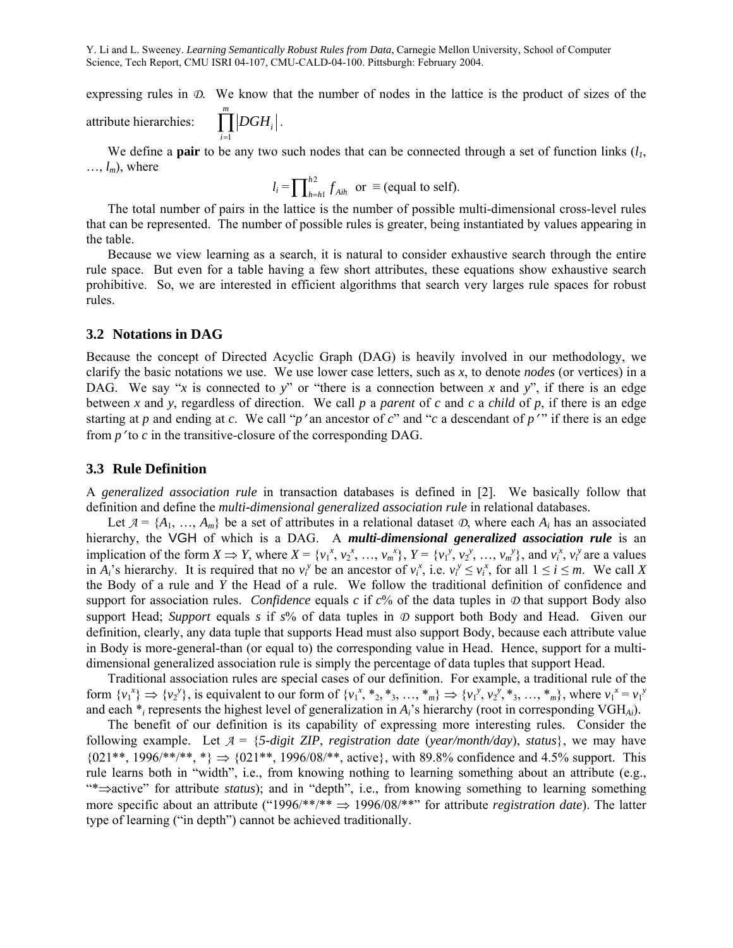expressing rules in *D*. We know that the number of nodes in the lattice is the product of sizes of the attribute hierarchies: *m DGHi* .

We define a **pair** to be any two such nodes that can be connected through a set of function links  $(l_1, l_2)$  $\dots$ ,  $l_m$ ), where

$$
l_i = \prod_{h=h1}^{h2} f_{Aih} \text{ or } \equiv \text{(equal to self)}.
$$

 The total number of pairs in the lattice is the number of possible multi-dimensional cross-level rules that can be represented. The number of possible rules is greater, being instantiated by values appearing in the table.

 Because we view learning as a search, it is natural to consider exhaustive search through the entire rule space. But even for a table having a few short attributes, these equations show exhaustive search prohibitive. So, we are interested in efficient algorithms that search very larges rule spaces for robust rules.

### **3.2 Notations in DAG**

*i*

1

Because the concept of Directed Acyclic Graph (DAG) is heavily involved in our methodology, we clarify the basic notations we use. We use lower case letters, such as *x*, to denote *nodes* (or vertices) in a DAG. We say "*x* is connected to *y*" or "there is a connection between *x* and *y*", if there is an edge between *x* and *y*, regardless of direction. We call *p* a *parent* of *c* and *c* a *child* of *p*, if there is an edge starting at *p* and ending at *c*. We call "*p*' an ancestor of *c*" and "*c* a descendant of *p*'" if there is an edge from *p*′ to *c* in the transitive-closure of the corresponding DAG.

## **3.3 Rule Definition**

A *generalized association rule* in transaction databases is defined in [2]. We basically follow that definition and define the *multi-dimensional generalized association rule* in relational databases.

Let  $A = \{A_1, ..., A_m\}$  be a set of attributes in a relational dataset  $D$ , where each  $A_i$  has an associated hierarchy, the VGH of which is a DAG. A *multi-dimensional generalized association rule* is an implication of the form  $X \Rightarrow Y$ , where  $X = \{v_1^x, v_2^x, ..., v_m^x\}$ ,  $Y = \{v_1^y, v_2^y, ..., v_m^y\}$ , and  $v_i^x, v_i^y$  are a values in  $A_i$ 's hierarchy. It is required that no  $v_i^y$  be an ancestor of  $v_i^x$ , i.e.  $v_i^y \le v_i^x$ , for all  $1 \le i \le m$ . We call *X* the Body of a rule and *Y* the Head of a rule. We follow the traditional definition of confidence and support for association rules. *Confidence* equals  $c$  if  $c$ % of the data tuples in  $\mathcal D$  that support Body also support Head; *Support* equals *s* if *s*% of data tuples in *D* support both Body and Head. Given our definition, clearly, any data tuple that supports Head must also support Body, because each attribute value in Body is more-general-than (or equal to) the corresponding value in Head. Hence, support for a multidimensional generalized association rule is simply the percentage of data tuples that support Head.

 Traditional association rules are special cases of our definition. For example, a traditional rule of the form  $\{v_1^x\} \Rightarrow \{v_2^y\}$ , is equivalent to our form of  $\{v_1^x, *_{2}, *_{3}, ..., *_{m}\}\Rightarrow \{v_1^y, v_2^y, *_{3}, ..., *_{m}\}\$ , where  $v_1^x = v_1^y$ and each \**i* represents the highest level of generalization in *Ai*'s hierarchy (root in corresponding VGH*Ai*).

 The benefit of our definition is its capability of expressing more interesting rules. Consider the following example. Let  $A = \{5\text{-digit ZIP}, \text{ registration date (year/month/day)}, \text{status}\},$  we may have  ${0,11**}, 1996/**/**, *\} \Rightarrow {0,21**}, 1996/08/**,$  active}, with 89.8% confidence and 4.5% support. This rule learns both in "width", i.e., from knowing nothing to learning something about an attribute (e.g., "\*⇒active" for attribute *status*); and in "depth", i.e., from knowing something to learning something more specific about an attribute ("1996/\*\*/\*\* ⇒ 1996/08/\*\*" for attribute *registration date*). The latter type of learning ("in depth") cannot be achieved traditionally.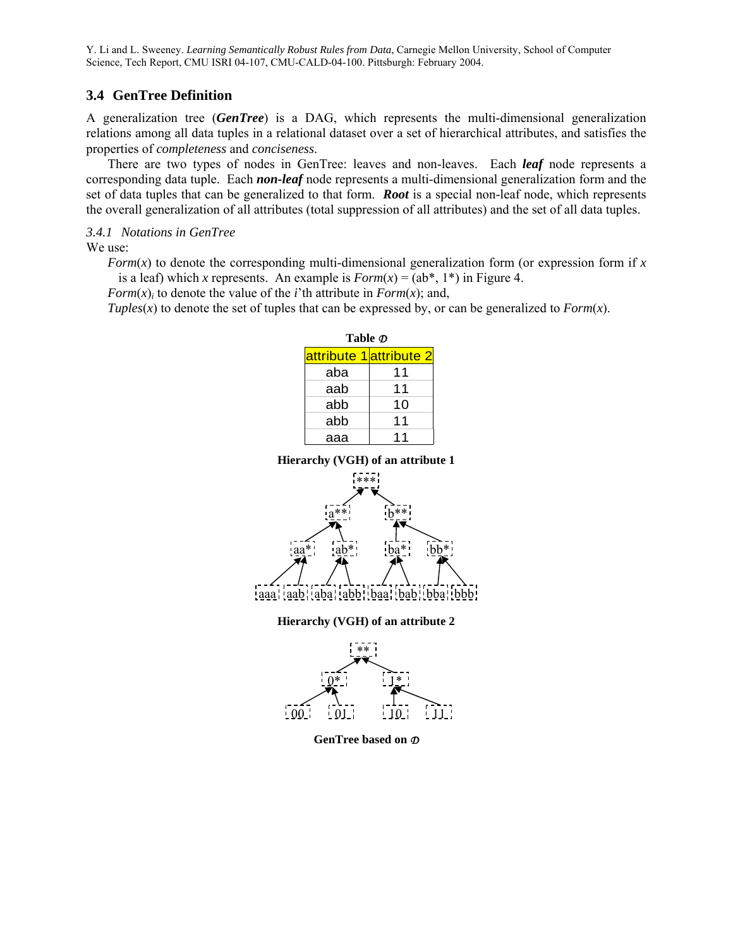## **3.4 GenTree Definition**

A generalization tree (*GenTree*) is a DAG, which represents the multi-dimensional generalization relations among all data tuples in a relational dataset over a set of hierarchical attributes, and satisfies the properties of *completeness* and *conciseness*.

 There are two types of nodes in GenTree: leaves and non-leaves. Each *leaf* node represents a corresponding data tuple. Each *non-leaf* node represents a multi-dimensional generalization form and the set of data tuples that can be generalized to that form. *Root* is a special non-leaf node, which represents the overall generalization of all attributes (total suppression of all attributes) and the set of all data tuples.

## *3.4.1 Notations in GenTree*

We use:

*Form*( $x$ ) to denote the corresponding multi-dimensional generalization form (or expression form if  $x$ ) is a leaf) which *x* represents. An example is  $Form(x) = (ab^*, 1^*)$  in Figure 4.

*Form* $(x)$ *i* to denote the value of the *i*'th attribute in *Form* $(x)$ ; and,

*Tuples*( $x$ ) to denote the set of tuples that can be expressed by, or can be generalized to *Form*( $x$ ).

**Table** *D*

|     | attribute 1attribute 2 |  |  |  |  |  |
|-----|------------------------|--|--|--|--|--|
| aba | 11                     |  |  |  |  |  |
| aab | 11                     |  |  |  |  |  |
| abb | 10                     |  |  |  |  |  |
| abb | 11                     |  |  |  |  |  |
| aaa |                        |  |  |  |  |  |

**Hierarchy (VGH) of an attribute 1** 



**Hierarchy (VGH) of an attribute 2** 



**GenTree based on** *D*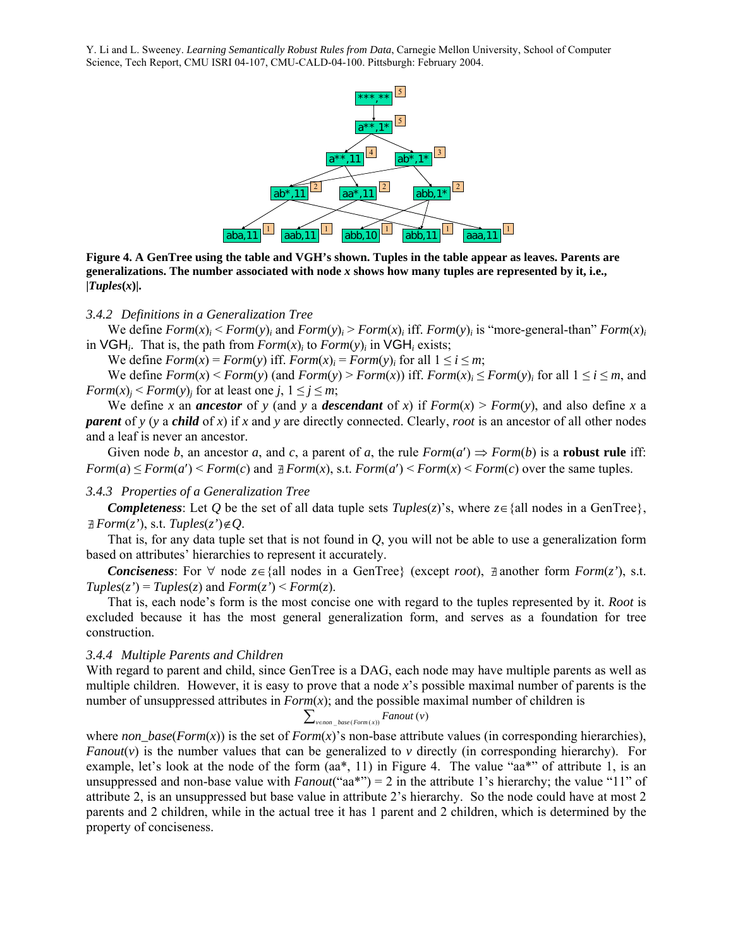

**Figure 4. A GenTree using the table and VGH's shown. Tuples in the table appear as leaves. Parents are generalizations. The number associated with node** *x* **shows how many tuples are represented by it, i.e.,**   $|Tuples(x)|$ .

#### *3.4.2 Definitions in a Generalization Tree*

We define  $Form(x)_i$  <  $Form(y)_i$  and  $Form(y)_i$  >  $Form(x)_i$  iff.  $Form(y)_i$  is "more-general-than"  $Form(x)_i$ in  $VGH_i$ . That is, the path from  $Form(x)_i$  to  $Form(y)_i$  in  $VGH_i$  exists;

We define  $Form(x) = Form(y)$  iff.  $Form(x)_i = Form(y)_i$  for all  $1 \le i \le m$ ;

We define  $Form(x) \leq Form(y)$  (and  $Form(y) \geq Form(x)$ ) iff.  $Form(x)_i \leq Form(y)_i$  for all  $1 \leq i \leq m$ , and *Form* $(x)$ <sup>*j*</sup>  $\leq$  *Form* $(y)$ <sup>*j*</sup> for at least one *j*,  $1 \leq j \leq m$ ;

We define *x* an *ancestor* of *y* (and *y* a *descendant* of *x*) if  $Form(x) > Form(y)$ , and also define *x* a *parent* of *y* (*y* a *child* of *x*) if *x* and *y* are directly connected. Clearly, *root* is an ancestor of all other nodes and a leaf is never an ancestor.

Given node *b*, an ancestor *a*, and *c*, a parent of *a*, the rule  $Form(a') \Rightarrow Form(b)$  is a **robust rule** iff:  $Form(a) \leq Form(a') \leq Form(c)$  and  $\exists Form(x)$ , s.t.  $Form(a') \leq Form(x) \leq Form(c)$  over the same tuples.

### *3.4.3 Properties of a Generalization Tree*

*Completeness*: Let *O* be the set of all data tuple sets  $Tuples(z)$ 's, where  $z \in \{all \text{ nodes in a GenTree}\}\,$  $\exists$  *Form*( $z'$ ), s.t. *Tuples*( $z'$ ) $\notin$ *O*.

 That is, for any data tuple set that is not found in *Q*, you will not be able to use a generalization form based on attributes' hierarchies to represent it accurately.

*Conciseness*: For  $\forall$  node  $z \in \{all \text{ nodes in a GenTree}\}$  (except *root*), ∄ another form *Form*(*z'*), s.t.  $Tuples(z') = Tuples(z)$  and  $Form(z') \leq Form(z)$ .

 That is, each node's form is the most concise one with regard to the tuples represented by it. *Root* is excluded because it has the most general generalization form, and serves as a foundation for tree construction.

### *3.4.4 Multiple Parents and Children*

With regard to parent and child, since GenTree is a DAG, each node may have multiple parents as well as multiple children. However, it is easy to prove that a node *x*'s possible maximal number of parents is the number of unsuppressed attributes in  $Form(x)$ ; and the possible maximal number of children is

$$
\sum\nolimits_{v \in non\_base(Form(x))} Fanout(v)
$$

where  $non\_base(Form(x))$  is the set of  $Form(x)$ 's non-base attribute values (in corresponding hierarchies), *Fanout*( $v$ ) is the number values that can be generalized to  $v$  directly (in corresponding hierarchy). For example, let's look at the node of the form (aa\*, 11) in Figure 4. The value "aa\*" of attribute 1, is an unsuppressed and non-base value with *Fanout*("aa\*") = 2 in the attribute 1's hierarchy; the value "11" of attribute 2, is an unsuppressed but base value in attribute 2's hierarchy. So the node could have at most 2 parents and 2 children, while in the actual tree it has 1 parent and 2 children, which is determined by the property of conciseness.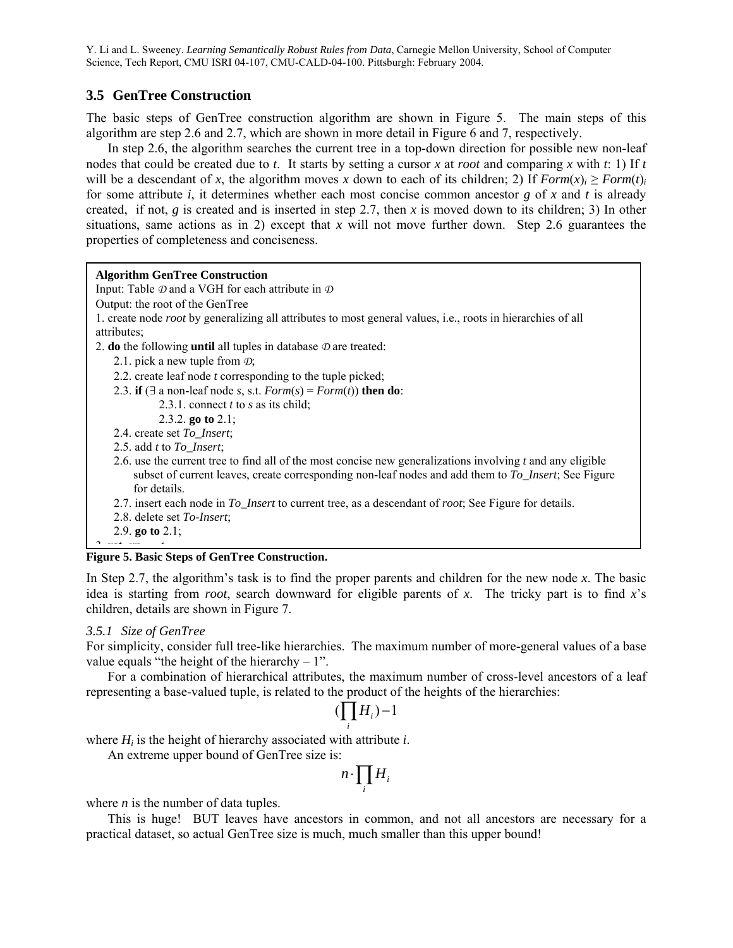## **3.5 GenTree Construction**

The basic steps of GenTree construction algorithm are shown in Figure 5. The main steps of this algorithm are step 2.6 and 2.7, which are shown in more detail in Figure 6 and 7, respectively.

 In step 2.6, the algorithm searches the current tree in a top-down direction for possible new non-leaf nodes that could be created due to *t*. It starts by setting a cursor *x* at *root* and comparing *x* with *t*: 1) If *t* will be a descendant of *x*, the algorithm moves *x* down to each of its children; 2) If  $Form(x) \geq Form(t)$ *i* for some attribute *i*, it determines whether each most concise common ancestor *g* of *x* and *t* is already created, if not,  $g$  is created and is inserted in step 2.7, then  $x$  is moved down to its children; 3) In other situations, same actions as in 2) except that *x* will not move further down. Step 2.6 guarantees the properties of completeness and conciseness.

## **Algorithm GenTree Construction**  Input: Table *D* and a VGH for each attribute in *D* Output: the root of the GenTree 1. create node *root* by generalizing all attributes to most general values, i.e., roots in hierarchies of all attributes; 2. **do** the following **until** all tuples in database *D* are treated: 2.1. pick a new tuple from *D*; 2.2. create leaf node *t* corresponding to the tuple picked; 2.3. **if** ( $\exists$  a non-leaf node *s*, *s.t. Form*(*s*) = *Form*(*t*)) **then do**: 2.3.1. connect *t* to *s* as its child; 2.3.2. **go to** 2.1; 2.4. create set *To\_Insert*; 2.5. add *t* to *To\_Insert*; 2.6. use the current tree to find all of the most concise new generalizations involving *t* and any eligible subset of current leaves, create corresponding non-leaf nodes and add them to *To\_Insert*; See Figure for details. 2.7. insert each node in *To\_Insert* to current tree, as a descendant of *root*; See Figure for details. 2.8. delete set *To-Insert*;

2.9. **go to** 2.1;

#### **Figure 5. Basic Steps of GenTree Construction.**  3 **ret rn** *t*

In Step 2.7, the algorithm's task is to find the proper parents and children for the new node *x*. The basic idea is starting from *root*, search downward for eligible parents of *x*. The tricky part is to find *x*'s children, details are shown in Figure 7.

## *3.5.1 Size of GenTree*

For simplicity, consider full tree-like hierarchies. The maximum number of more-general values of a base value equals "the height of the hierarchy  $-1$ ".

 For a combination of hierarchical attributes, the maximum number of cross-level ancestors of a leaf representing a base-valued tuple, is related to the product of the heights of the hierarchies:

$$
(\prod_i H_i)-1
$$

where *Hi* is the height of hierarchy associated with attribute *i*.

An extreme upper bound of GenTree size is:

$$
n \cdot \prod_i H_i
$$

where *n* is the number of data tuples.

 This is huge! BUT leaves have ancestors in common, and not all ancestors are necessary for a practical dataset, so actual GenTree size is much, much smaller than this upper bound!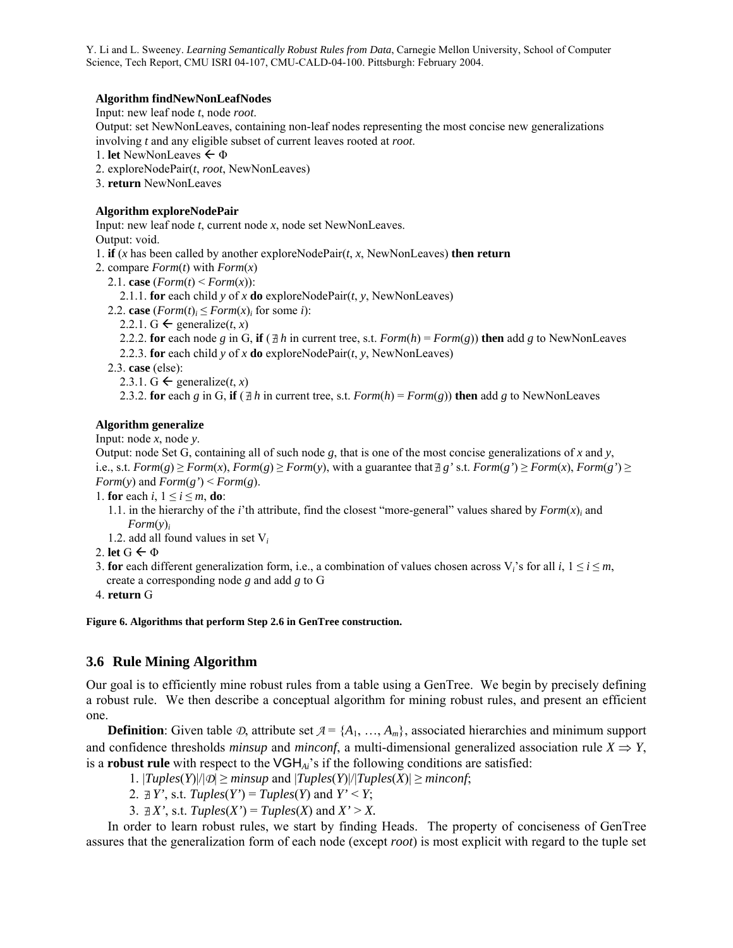### **Algorithm findNewNonLeafNodes**

Input: new leaf node *t*, node *root*.

Output: set NewNonLeaves, containing non-leaf nodes representing the most concise new generalizations involving *t* and any eligible subset of current leaves rooted at *root*.

1. **let** NewNonLeaves  $\leftarrow \Phi$ 

2. exploreNodePair(*t*, *root*, NewNonLeaves)

3. **return** NewNonLeaves

### **Algorithm exploreNodePair**

Input: new leaf node *t*, current node *x*, node set NewNonLeaves.

Output: void.

1. **if** (*x* has been called by another exploreNodePair( $t$ ,  $x$ , NewNonLeaves) **then return** 

- 2. compare *Form*(*t*) with *Form*(*x*)
	- 2.1. **case**  $(Form(t) \leq Form(x))$ :

2.1.1. **for** each child *y* of *x* **do** exploreNodePair( $t$ ,  $y$ , NewNonLeaves)

2.2. **case**  $(Form(t)_i \leq Form(x)_i$  for some *i*):

2.2.1. G  $\leftarrow$  generalize(*t*, *x*)

- 2.2.2. **for** each node *g* in G, if ( $\exists h$  in current tree, s.t. *Form*(*h*) = *Form*(*g*)) **then** add *g* to NewNonLeaves
- 2.2.3. **for** each child  $y$  of  $x$  **do** exploreNodePair( $t$ ,  $y$ , NewNonLeaves)
- 2.3. **case** (else):
	- 2.3.1. G  $\leftarrow$  generalize(*t*, *x*)

2.3.2. **for** each *g* in G, **if** ( $\exists h$  in current tree, s.t. *Form*(*h*) = *Form*(*g*)) **then** add *g* to NewNonLeaves

## **Algorithm generalize**

Input: node *x*, node *y*.

Output: node Set G, containing all of such node *g*, that is one of the most concise generalizations of *x* and *y*, i.e., s.t. *Form*(*g*) ≥ *Form*(*x*), *Form*(*g*) ≥ *Form*(*y*), with a guarantee that ∄ *g*' s.t. *Form*(*g*') ≥ *Form*(*x*), *Form*(*g*') ≥ *Form*(*y*) and *Form*(*g*') < *Form*(*g*).

1. **for** each  $i, 1 \le i \le m$ , **do**:

- 1.1. in the hierarchy of the *i*'th attribute, find the closest "more-general" values shared by  $Form(x)$ <sup>*i*</sup> and *Form*(*y*)*<sup>i</sup>*
- 1.2. add all found values in set V*<sup>i</sup>*
- 2. **let**  $G \leftarrow \Phi$
- 3. **for** each different generalization form, i.e., a combination of values chosen across  $V_i$ 's for all  $i, 1 \le i \le m$ , create a corresponding node *g* and add *g* to G
- 4. **return** G

**Figure 6. Algorithms that perform Step 2.6 in GenTree construction.** 

# **3.6 Rule Mining Algorithm**

Our goal is to efficiently mine robust rules from a table using a GenTree. We begin by precisely defining a robust rule. We then describe a conceptual algorithm for mining robust rules, and present an efficient one.

**Definition**: Given table  $\mathcal{D}$ , attribute set  $\mathcal{A} = \{A_1, \ldots, A_m\}$ , associated hierarchies and minimum support and confidence thresholds *minsup* and *minconf*, a multi-dimensional generalized association rule  $X \Rightarrow Y$ , is a **robust rule** with respect to the VGH*Ai*'s if the following conditions are satisfied:

1.  $|Tuples(Y)|/|\mathcal{D}| \geq minsup$  and  $|Tuples(Y)|/|Tuples(X)| \geq minconf;$ 

2.  $\exists Y'$ , s.t. *Tuples*(*Y'*) = *Tuples*(*Y*) and *Y'* < *Y*;

3.  $\exists X'$ , s.t.  $Tuples(X') = Tuples(X)$  and  $X' > X$ .

 In order to learn robust rules, we start by finding Heads. The property of conciseness of GenTree assures that the generalization form of each node (except *root*) is most explicit with regard to the tuple set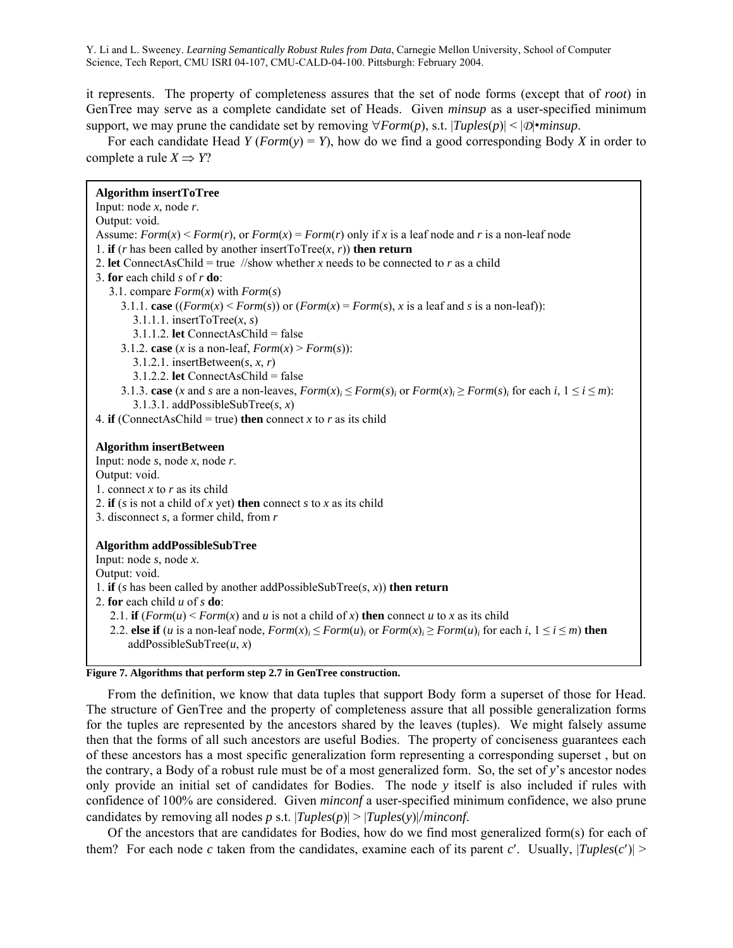it represents. The property of completeness assures that the set of node forms (except that of *root*) in GenTree may serve as a complete candidate set of Heads. Given *minsup* as a user-specified minimum support, we may prune the candidate set by removing  $\forall Form(p)$ , s.t.  $|Tuples(p)| < |D|$ •*minsup*.

 For each candidate Head *Y* (*Form*(*y*) = *Y*), how do we find a good corresponding Body *X* in order to complete a rule  $X \Rightarrow Y$ ?

| <b>Algorithm insertToTree</b><br>Input: node $x$ , node $r$ .                                                                                                                              |
|--------------------------------------------------------------------------------------------------------------------------------------------------------------------------------------------|
| Output: void.                                                                                                                                                                              |
| Assume: $Form(x) \leq Form(r)$ , or $Form(x) = Form(r)$ only if x is a leaf node and r is a non-leaf node                                                                                  |
| 1. if ( <i>r</i> has been called by another insertToTree( <i>x</i> , <i>r</i> )) then return<br>2. <b>let</b> ConnectAsChild = true //show whether x needs to be connected to r as a child |
| 3. for each child s of $r$ do:                                                                                                                                                             |
| 3.1. compare $Form(x)$ with $Form(s)$                                                                                                                                                      |
| 3.1.1. case $((Form(x) \leq Form(s))$ or $(Form(x) = Form(s), x$ is a leaf and s is a non-leaf):                                                                                           |
| 3.1.1.1. insertToTree $(x, s)$                                                                                                                                                             |
| 3.1.1.2. let ConnectAsChild = false                                                                                                                                                        |
| 3.1.2. case (x is a non-leaf, $Form(x) > Form(s)$ ):                                                                                                                                       |
| 3.1.2.1. insertBetween $(s, x, r)$                                                                                                                                                         |
| $3.1.2.2$ . <b>let</b> ConnectAsChild = false                                                                                                                                              |
| 3.1.3. case (x and s are a non-leaves, $Form(x)_i \leq Form(s)_i$ or $Form(x)_i \geq Form(s)_i$ for each $i, 1 \leq i \leq m$ ):                                                           |
| 3.1.3.1. addPossibleSubTree(s, x)                                                                                                                                                          |
| 4. <b>if</b> (ConnectAsChild = true) <b>then</b> connect x to r as its child                                                                                                               |
|                                                                                                                                                                                            |
| <b>Algorithm insertBetween</b><br>Input: node $s$ , node $x$ , node $r$ .                                                                                                                  |
| Output: void.                                                                                                                                                                              |
| 1. connect x to r as its child                                                                                                                                                             |
| 2. if (s is not a child of x yet) then connect s to x as its child                                                                                                                         |
| 3. disconnect $s$ , a former child, from $r$                                                                                                                                               |
|                                                                                                                                                                                            |
| <b>Algorithm addPossibleSubTree</b>                                                                                                                                                        |
| Input: node $s$ , node $x$ .                                                                                                                                                               |
| Output: void.                                                                                                                                                                              |
| 1. if (s has been called by another addPossibleSubTree(s, x)) then return                                                                                                                  |
| 2. for each child $u$ of $s$ do:                                                                                                                                                           |
| 2.1. if $(Form(u) \le Form(x)$ and u is not a child of x) then connect u to x as its child                                                                                                 |
| 2.2. else if ( <i>u</i> is a non-leaf node, $Form(x)$ ; $\leq Form(u)$ ; or $Form(x)$ ; $\geq Form(u)$ ; for each <i>i</i> , $1 \leq i \leq m$ ) then<br>addPossibleSubTree $(u, x)$       |
| Figure 7. Algorithms that perform step 2.7 in GenTree construction.                                                                                                                        |
|                                                                                                                                                                                            |

 From the definition, we know that data tuples that support Body form a superset of those for Head. The structure of GenTree and the property of completeness assure that all possible generalization forms for the tuples are represented by the ancestors shared by the leaves (tuples). We might falsely assume then that the forms of all such ancestors are useful Bodies. The property of conciseness guarantees each of these ancestors has a most specific generalization form representing a corresponding superset , but on the contrary, a Body of a robust rule must be of a most generalized form. So, the set of *y*'s ancestor nodes only provide an initial set of candidates for Bodies. The node *y* itself is also included if rules with confidence of 100% are considered. Given *minconf* a user-specified minimum confidence, we also prune candidates by removing all nodes *p* s.t.  $|Tuples(p)| > |Tuples(y)|/minconf$ .

 Of the ancestors that are candidates for Bodies, how do we find most generalized form(s) for each of them? For each node *c* taken from the candidates, examine each of its parent *c'*. Usually,  $|Tuples(c')|$  >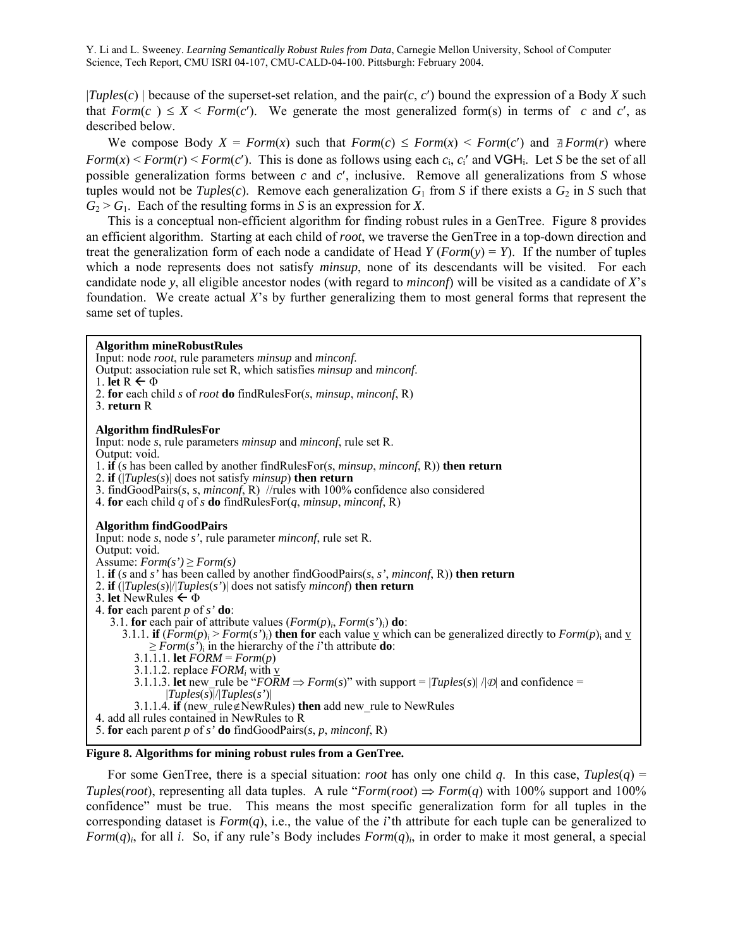$|Tuples(c)|$  because of the superset-set relation, and the pair(*c*, *c'*) bound the expression of a Body *X* such that  $Form(c) \le X \le Form(c')$ . We generate the most generalized form(s) in terms of *c* and *c'*, as described below.

We compose Body  $X = Form(x)$  such that  $Form(c) \leq Form(x) \leq Form(c')$  and  $\exists Form(r)$  where *Form*( $x$ ) < *Form*( $r$ ) < *Form*( $c'$ ). This is done as follows using each  $c_i$ ,  $c_i'$  and VGH<sub>i</sub>. Let *S* be the set of all possible generalization forms between *c* and *c*′, inclusive. Remove all generalizations from *S* whose tuples would not be *Tuples*(*c*). Remove each generalization  $G_1$  from *S* if there exists a  $G_2$  in *S* such that  $G_2 > G_1$ . Each of the resulting forms in *S* is an expression for *X*.

 This is a conceptual non-efficient algorithm for finding robust rules in a GenTree. Figure 8 provides an efficient algorithm. Starting at each child of *root*, we traverse the GenTree in a top-down direction and treat the generalization form of each node a candidate of Head  $Y$  ( $Form(y) = Y$ ). If the number of tuples which a node represents does not satisfy *minsup*, none of its descendants will be visited. For each candidate node *y*, all eligible ancestor nodes (with regard to *minconf*) will be visited as a candidate of *X*'s foundation. We create actual *X*'s by further generalizing them to most general forms that represent the same set of tuples.

## **Figure 8. Algorithms for mining robust rules from a GenTree.**  For some GenTree, there is a special situation: *root* has only one child *q*. In this case, *Tuples*(*q*) = **Algorithm mineRobustRules**  Input: node *root*, rule parameters *minsup* and *minconf*. Output: association rule set R, which satisfies *minsup* and *minconf*. 1. **let**  $R \leftarrow \Phi$ 2. **for** each child *s* of *root* **do** findRulesFor(*s*, *minsup*, *minconf*, R) 3. **return** R **Algorithm findRulesFor**  Input: node *s*, rule parameters *minsup* and *minconf*, rule set R. Output: void. 1. **if** (*s* has been called by another findRulesFor(*s*, *minsup*, *minconf*, R)) **then return**  2. **if** (|*Tuples*(*s*)| does not satisfy *minsup*) **then return** 3. findGoodPairs(*s*, *s*, *minconf*, R) //rules with 100% confidence also considered 4. **for** each child *q* of *s* **do** findRulesFor(*q*, *minsup*, *minconf*, R) **Algorithm findGoodPairs**  Input: node *s*, node *s'*, rule parameter *minconf*, rule set R. Output: void. Assume:  $Form(s') \geq Form(s)$ 1. **if** (*s* and *s'* has been called by another findGoodPairs(*s*, *s'*, *minconf*, R)) **then return**  2. **if** (|*Tuples*(*s*)|/|*Tuples*(*s'*)| does not satisfy *minconf*) **then return**  3. **let** NewRules ← Φ 4. **for** each parent *p* of *s'* **do**: 3.1. **for** each pair of attribute values (*Form*(*p*)*i*, *Form*(*s'*)*i*) **do**: 3.1.1. **if**  $(Form(p) \ge Form(s')$ *i*) **then for** each value v which can be generalized directly to  $Form(p)$ **;** and v  $\geq$  *Form*(*s*<sup>'</sup>)<sub>i</sub> in the hierarchy of the *i*'th attribute **do**:  $3.1.\overline{1}.1.$  **let**  $\overline{FORM} = \overline{Form}(p)$ 3.1.1.2. replace  $FORM_i$  with v 3.1.1.3. **let** new rule be " $FORM \Rightarrow Form(s)$ " with support =  $|Tuples(s)| / |D|$  and confidence = |*Tuples*(*s*)|/|*Tuples*(*s'*)| 3.1.1.4. **if** (new\_rule∉NewRules) **then** add new\_rule to NewRules 4. add all rules contained in NewRules to R 5. **for** each parent *p* of *s'* **do** findGoodPairs(*s*, *p*, *minconf*, R)

*Tuples*(*root*), representing all data tuples. A rule "*Form*(*root*)  $\Rightarrow$  *Form*(*q*) with 100% support and 100% confidence" must be true. This means the most specific generalization form for all tuples in the corresponding dataset is  $Form(q)$ , i.e., the value of the *i*'th attribute for each tuple can be generalized to *Form* $(q)$ <sup>*i*</sup>, for all *i*. So, if any rule's Body includes *Form* $(q)$ *<sub><i>i*</sub></sub> in order to make it most general, a special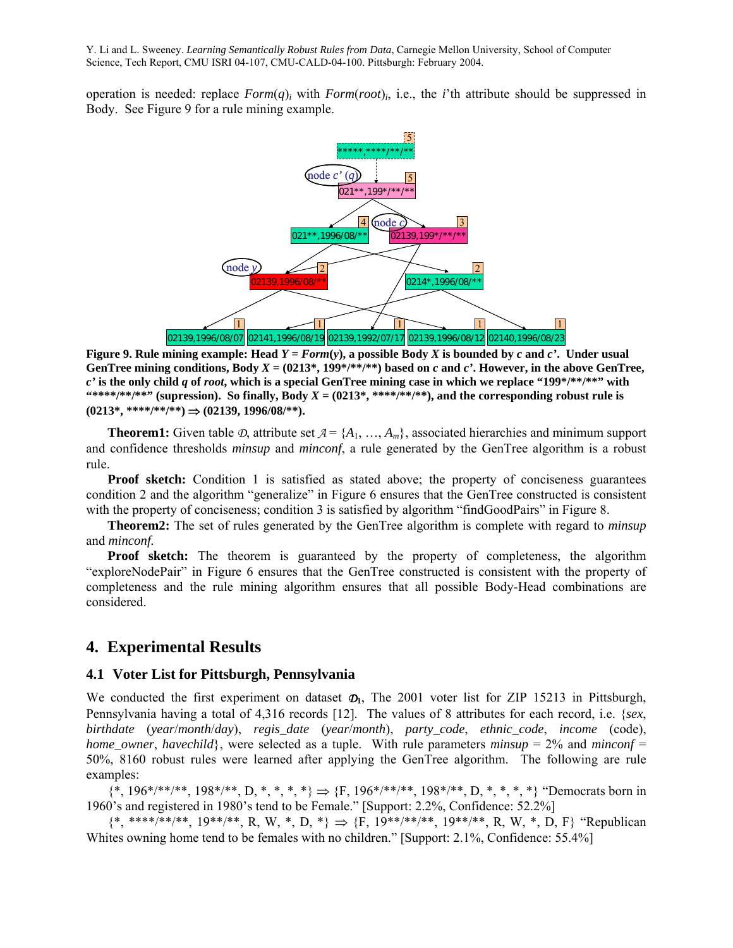operation is needed: replace *Form*(*q*)*i* with *Form*(*root*)*i*, i.e., the *i*'th attribute should be suppressed in Body. See Figure 9 for a rule mining example.



**Figure 9. Rule mining example: Head**  $Y = Form(y)$ **, a possible Body X is bounded by c and c'. Under usual** GenTree mining conditions, Body  $X = (0213^*, 199^{*/**} / **)$  based on *c* and *c'*. However, in the above GenTree, *c'* **is the only child** *q* **of** *root***, which is a special GenTree mining case in which we replace "199\*/\*\*/\*\*" with**  "\*\*\*\*/\*\*"" (supression). So finally, Body  $X = (0213^*, ****/**/*)$ , and the corresponding robust rule is **(0213\*, \*\*\*\*/\*\*/\*\*)** ⇒ **(02139, 1996/08/\*\*).** 

**Theorem1:** Given table  $\mathcal{D}$ , attribute set  $\mathcal{A} = \{A_1, \ldots, A_m\}$ , associated hierarchies and minimum support and confidence thresholds *minsup* and *minconf*, a rule generated by the GenTree algorithm is a robust rule.

**Proof sketch:** Condition 1 is satisfied as stated above; the property of conciseness guarantees condition 2 and the algorithm "generalize" in Figure 6 ensures that the GenTree constructed is consistent with the property of conciseness; condition 3 is satisfied by algorithm "findGoodPairs" in Figure 8.

 **Theorem2:** The set of rules generated by the GenTree algorithm is complete with regard to *minsup* and *minconf.*

**Proof sketch:** The theorem is guaranteed by the property of completeness, the algorithm "exploreNodePair" in Figure 6 ensures that the GenTree constructed is consistent with the property of completeness and the rule mining algorithm ensures that all possible Body-Head combinations are considered.

# **4. Experimental Results**

### **4.1 Voter List for Pittsburgh, Pennsylvania**

We conducted the first experiment on dataset  $\mathcal{D}_1$ , The 2001 voter list for ZIP 15213 in Pittsburgh, Pennsylvania having a total of 4,316 records [12]. The values of 8 attributes for each record, i.e. {*sex*, *birthdate* (*year*/*month*/*day*), *regis\_date* (*year*/*month*), *party\_code*, *ethnic\_code*, *income* (code), *home\_owner, havechild*}, were selected as a tuple. With rule parameters *minsup* = 2% and *minconf* = 50%, 8160 robust rules were learned after applying the GenTree algorithm. The following are rule examples:

 ${\{\text{*}, 196^*} \}/[1000]$  +  ${\{\text{*}, 198^*} \}/[1000]$  +  ${\{\text{*}, \text{*}, \text{*}, \text{*}\}}$  +  ${\{\text{}}$  +  ${\{\text{}}\}$  +  ${\{\text{}}\}$  +  ${\{\text{}}\}$  +  ${\{\text{}}\}$  +  ${\{\text{}}\}$  +  ${\{\text{}}\}$  +  ${\{\text{}}\}$  +  ${\{\text{}}\}$  +  ${\{\text{}}\}$  +  ${\{\text{}}\}$  +  ${\{\text{}}\}$  +  ${\{\text{}}$ 1960's and registered in 1980's tend to be Female." [Support: 2.2%, Confidence: 52.2%]

 ${\{*, ****, **}, ***, 19^{***} \}, R, W, *, D, * \} \Rightarrow {\{F, 19^{**} \}, ***, 19^{**} \}, R, W, *, D, F}$  "Republican Whites owning home tend to be females with no children." [Support: 2.1%, Confidence: 55.4%]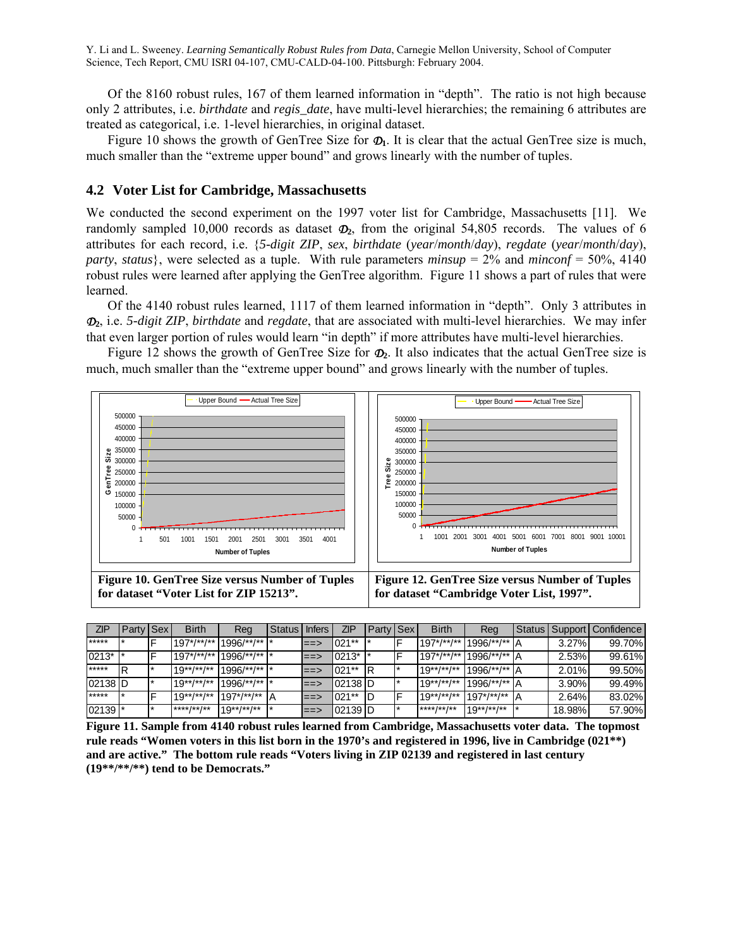Of the 8160 robust rules, 167 of them learned information in "depth". The ratio is not high because only 2 attributes, i.e. *birthdate* and *regis\_date*, have multi-level hierarchies; the remaining 6 attributes are treated as categorical, i.e. 1-level hierarchies, in original dataset.

Figure 10 shows the growth of GenTree Size for  $\Phi$ <sub>1</sub>. It is clear that the actual GenTree size is much, much smaller than the "extreme upper bound" and grows linearly with the number of tuples.

## **4.2 Voter List for Cambridge, Massachusetts**

We conducted the second experiment on the 1997 voter list for Cambridge, Massachusetts [11]. We randomly sampled 10,000 records as dataset  $\mathcal{D}_2$ , from the original 54,805 records. The values of 6 attributes for each record, i.e. {*5-digit ZIP*, *sex*, *birthdate* (*year*/*month*/*day*), *regdate* (*year*/*month*/*day*), *party*, *status*}, were selected as a tuple. With rule parameters *minsup* = 2% and *minconf* = 50%, 4140 robust rules were learned after applying the GenTree algorithm. Figure 11 shows a part of rules that were learned.

 Of the 4140 robust rules learned, 1117 of them learned information in "depth". Only 3 attributes in *D***2**, i.e. *5-digit ZIP*, *birthdate* and *regdate*, that are associated with multi-level hierarchies. We may infer that even larger portion of rules would learn "in depth" if more attributes have multi-level hierarchies.

 Figure 12 shows the growth of GenTree Size for *D***2**. It also indicates that the actual GenTree size is much, much smaller than the "extreme upper bound" and grows linearly with the number of tuples.



**for dataset "Cambridge Voter List, 1997".** 

| ZIP                  | Party Sex | <b>Birth</b>          | Reg                   | Status I | <b>Infers</b> | ZIP       | Party Sex | <b>Birth</b>          | Rea                   |       |          | Status   Support   Confidence |
|----------------------|-----------|-----------------------|-----------------------|----------|---------------|-----------|-----------|-----------------------|-----------------------|-------|----------|-------------------------------|
| $*****$              |           | $197^*/**$ /**        | 996/**/**  *          |          | l==>          | $1021**$  |           | $197^*/^{**}/^{**}$   | 1996/**/**            | ١A    | 3.27%    | 99.70%                        |
| 0213*                |           | $197^*/**$ /**/**     | $1996$ /**/**  *      |          | $ == >$       | 0213*     |           | $197^*/**$ /**        | 1996/**/**            | ıΑ    | 2.53%    | 99.61%                        |
| $*****$              | R         | $19**$ /**/**         | $1996$ /**/**  *      |          | ≕≕>           | $021**$   |           | $19^{**}/^{**}/^{**}$ | 1996/**/**            | $\mu$ | 2.01%    | 99.50%                        |
| 02138 D              |           | $19^{**}/^{**}/^{**}$ | $1996$ /**/**  *      |          | $ == >$       | 102138 ID |           | $19^{**}/^{**}/^{**}$ | 1996/**/**            | P     | $3.90\%$ | 99.49%                        |
| $*****$              |           | $19^{**}/^{**}/^{**}$ | $197^*/^{**}/^{**}$   |          | l==>          | $021**$   |           | $19^{**}/^{**}/^{**}$ | $197^*/**$            |       | 2.64%    | 83.02%                        |
| $02139$ <sup>*</sup> |           | $***$ /** /**         | $19^{**}/^{**}/^{**}$ |          | ==>           | 02139  D  |           | $***$ /** /**         | $19^{**}/^{**}/^{**}$ |       | 18.98%   | 57.90%                        |

**Figure 11. Sample from 4140 robust rules learned from Cambridge, Massachusetts voter data. The topmost rule reads "Women voters in this list born in the 1970's and registered in 1996, live in Cambridge (021\*\*) and are active." The bottom rule reads "Voters living in ZIP 02139 and registered in last century (19\*\*/\*\*/\*\*) tend to be Democrats."**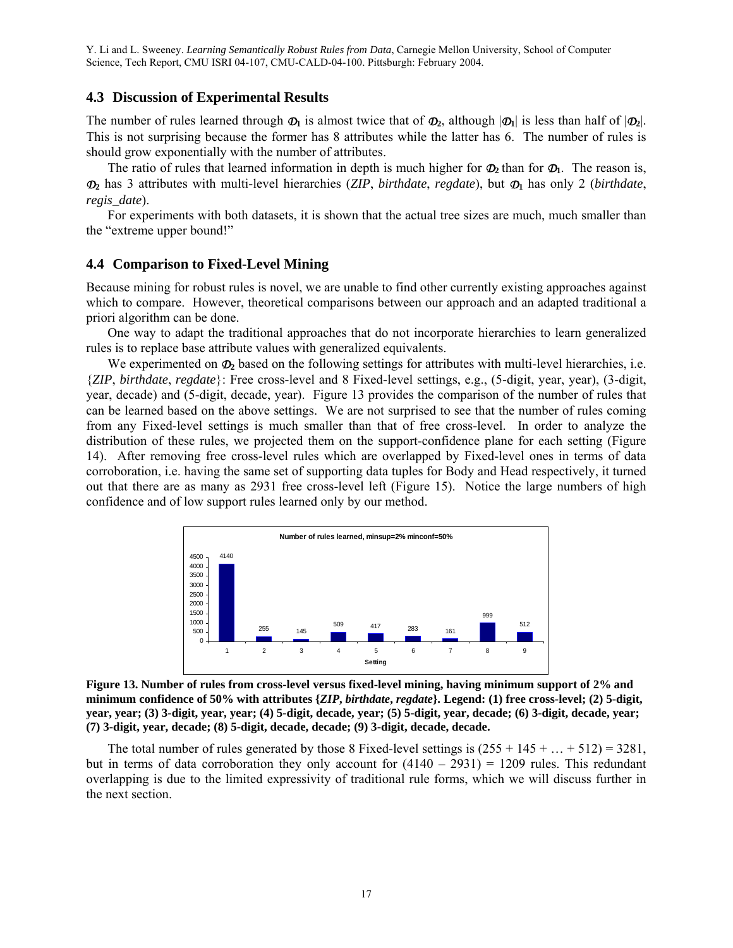## **4.3 Discussion of Experimental Results**

The number of rules learned through  $\Phi_1$  is almost twice that of  $\Phi_2$ , although  $|\Phi_1|$  is less than half of  $|\Phi_2|$ . This is not surprising because the former has 8 attributes while the latter has 6. The number of rules is should grow exponentially with the number of attributes.

The ratio of rules that learned information in depth is much higher for  $\Phi_2$  than for  $\Phi_1$ . The reason is, *D***2** has 3 attributes with multi-level hierarchies (*ZIP*, *birthdate*, *regdate*), but *D***1** has only 2 (*birthdate*, *regis\_date*).

 For experiments with both datasets, it is shown that the actual tree sizes are much, much smaller than the "extreme upper bound!"

## **4.4 Comparison to Fixed-Level Mining**

Because mining for robust rules is novel, we are unable to find other currently existing approaches against which to compare. However, theoretical comparisons between our approach and an adapted traditional a priori algorithm can be done.

 One way to adapt the traditional approaches that do not incorporate hierarchies to learn generalized rules is to replace base attribute values with generalized equivalents.

We experimented on  $\Phi_2$  based on the following settings for attributes with multi-level hierarchies, i.e. {*ZIP*, *birthdate*, *regdate*}: Free cross-level and 8 Fixed-level settings, e.g., (5-digit, year, year), (3-digit, year, decade) and (5-digit, decade, year). Figure 13 provides the comparison of the number of rules that can be learned based on the above settings. We are not surprised to see that the number of rules coming from any Fixed-level settings is much smaller than that of free cross-level. In order to analyze the distribution of these rules, we projected them on the support-confidence plane for each setting (Figure 14). After removing free cross-level rules which are overlapped by Fixed-level ones in terms of data corroboration, i.e. having the same set of supporting data tuples for Body and Head respectively, it turned out that there are as many as 2931 free cross-level left (Figure 15). Notice the large numbers of high confidence and of low support rules learned only by our method.



**Figure 13. Number of rules from cross-level versus fixed-level mining, having minimum support of 2% and minimum confidence of 50% with attributes {***ZIP***,** *birthdate***,** *regdate***}. Legend: (1) free cross-level; (2) 5-digit, year, year; (3) 3-digit, year, year; (4) 5-digit, decade, year; (5) 5-digit, year, decade; (6) 3-digit, decade, year; (7) 3-digit, year, decade; (8) 5-digit, decade, decade; (9) 3-digit, decade, decade.** 

The total number of rules generated by those 8 Fixed-level settings is  $(255 + 145 + ... + 512) = 3281$ , but in terms of data corroboration they only account for  $(4140 - 2931) = 1209$  rules. This redundant overlapping is due to the limited expressivity of traditional rule forms, which we will discuss further in the next section.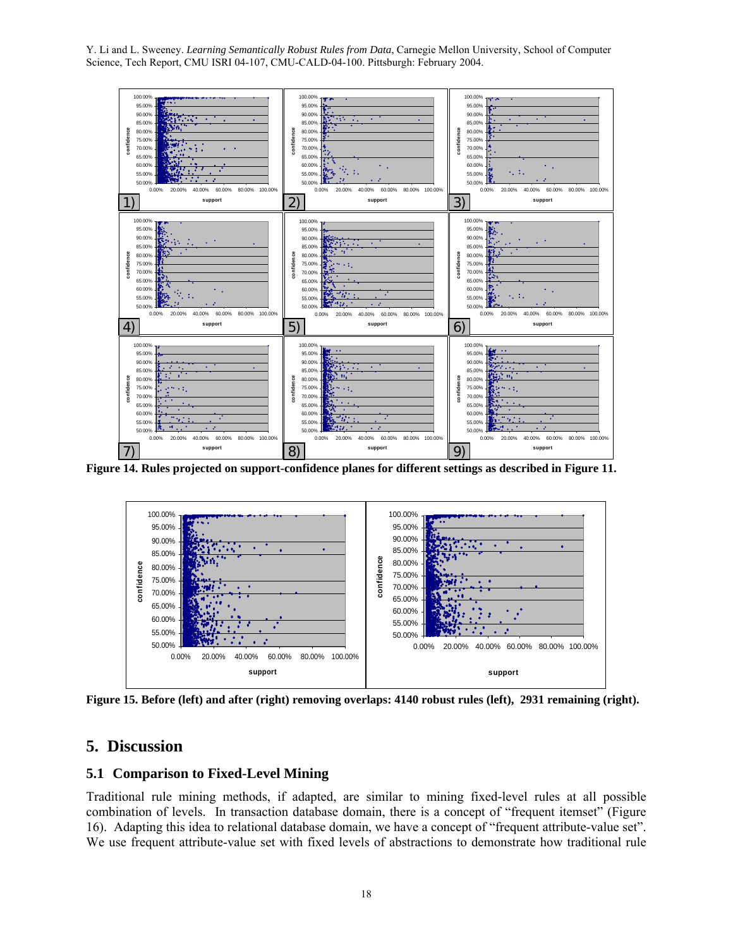

**Figure 14. Rules projected on support-confidence planes for different settings as described in Figure 11.** 



**Figure 15. Before (left) and after (right) removing overlaps: 4140 robust rules (left), 2931 remaining (right).** 

# **5. Discussion**

## **5.1 Comparison to Fixed-Level Mining**

Traditional rule mining methods, if adapted, are similar to mining fixed-level rules at all possible combination of levels. In transaction database domain, there is a concept of "frequent itemset" (Figure 16). Adapting this idea to relational database domain, we have a concept of "frequent attribute-value set". We use frequent attribute-value set with fixed levels of abstractions to demonstrate how traditional rule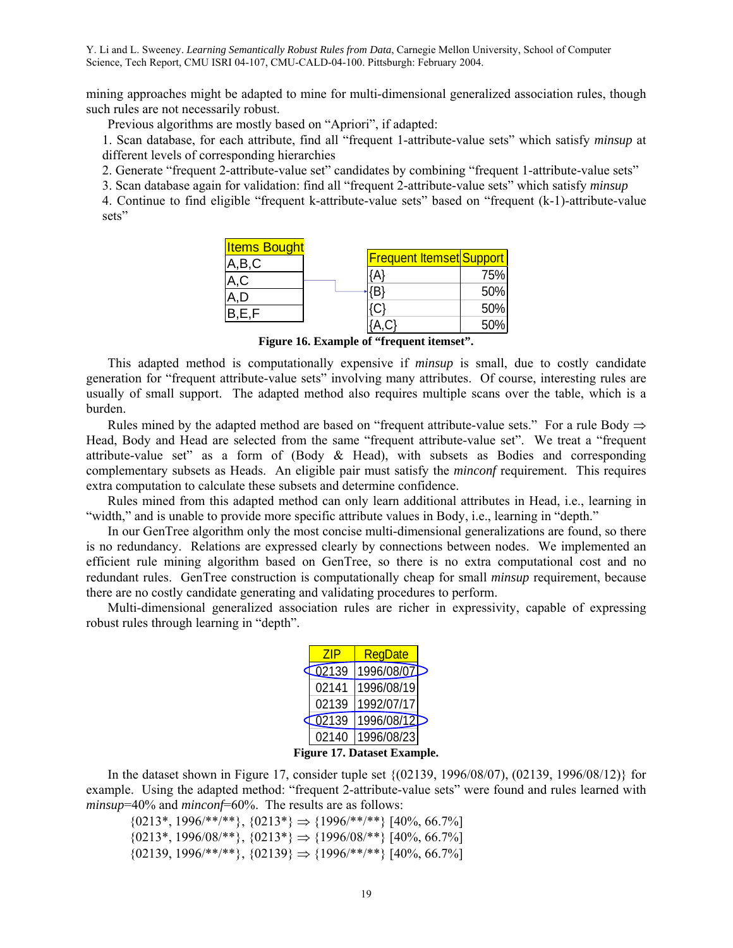mining approaches might be adapted to mine for multi-dimensional generalized association rules, though such rules are not necessarily robust.

Previous algorithms are mostly based on "Apriori", if adapted:

1. Scan database, for each attribute, find all "frequent 1-attribute-value sets" which satisfy *minsup* at different levels of corresponding hierarchies

2. Generate "frequent 2-attribute-value set" candidates by combining "frequent 1-attribute-value sets"

3. Scan database again for validation: find all "frequent 2-attribute-value sets" which satisfy *minsup*

4. Continue to find eligible "frequent k-attribute-value sets" based on "frequent (k-1)-attribute-value sets"

| <b>Items Bought</b> |                                 |     |
|---------------------|---------------------------------|-----|
| A,B,C               | <b>Frequent Itemset Support</b> |     |
|                     |                                 | 75% |
|                     |                                 | 50% |
|                     | <b>C</b> :                      | 50% |
| B.E.F               |                                 | 50% |

**Figure 16. Example of "frequent itemset".** 

 This adapted method is computationally expensive if *minsup* is small, due to costly candidate generation for "frequent attribute-value sets" involving many attributes. Of course, interesting rules are usually of small support. The adapted method also requires multiple scans over the table, which is a burden.

Rules mined by the adapted method are based on "frequent attribute-value sets." For a rule Body  $\Rightarrow$ Head, Body and Head are selected from the same "frequent attribute-value set". We treat a "frequent attribute-value set" as a form of (Body & Head), with subsets as Bodies and corresponding complementary subsets as Heads. An eligible pair must satisfy the *minconf* requirement. This requires extra computation to calculate these subsets and determine confidence.

 Rules mined from this adapted method can only learn additional attributes in Head, i.e., learning in "width," and is unable to provide more specific attribute values in Body, i.e., learning in "depth."

 In our GenTree algorithm only the most concise multi-dimensional generalizations are found, so there is no redundancy. Relations are expressed clearly by connections between nodes. We implemented an efficient rule mining algorithm based on GenTree, so there is no extra computational cost and no redundant rules. GenTree construction is computationally cheap for small *minsup* requirement, because there are no costly candidate generating and validating procedures to perform.

 Multi-dimensional generalized association rules are richer in expressivity, capable of expressing robust rules through learning in "depth".

| 7IP                | RegDate    |  |
|--------------------|------------|--|
| $\overline{02}139$ | 1996/08/07 |  |
| 02141              | 1996/08/19 |  |
| 02139              | 1992/07/17 |  |
| 02139              | 1996/08/12 |  |
| 02140              | 1996/08/23 |  |

**Figure 17. Dataset Example.** 

 In the dataset shown in Figure 17, consider tuple set {(02139, 1996/08/07), (02139, 1996/08/12)} for example. Using the adapted method: "frequent 2-attribute-value sets" were found and rules learned with *minsup*=40% and *minconf*=60%. The results are as follows:

 ${0213^*, 1996/**/**}, {0213^*} \Rightarrow {1996/**/**}$  [40%, 66.7%]  ${0213^*, 1996/08/**}, {0213^*} \Rightarrow {1996/08/**}$  [40%, 66.7%]  ${02139, 1996}$ <sup>\*\*</sup>/\*\*},  ${02139} \Rightarrow {1996}$ /\*\*/\*\*}  ${40\%, 66.7\%}$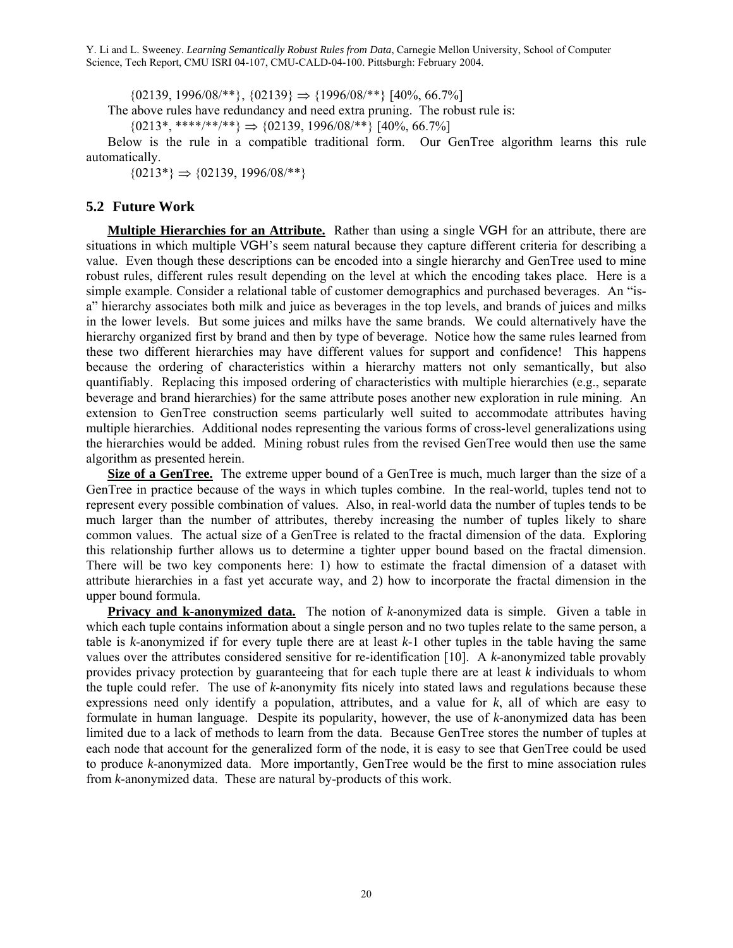${02139, 1996/08}$ <sup>\*\*</sup>,  ${02139} \Rightarrow {1996/08}$ <sup>\*\*</sup>}  $[40\%, 66.7\%]$ 

The above rules have redundancy and need extra pruning. The robust rule is:

 ${0213^*, ****/**/*}\Rightarrow {02139, 1996/08/** } [40\%, 66.7\%]$ 

 Below is the rule in a compatible traditional form. Our GenTree algorithm learns this rule automatically.

 ${0213^*} \Rightarrow {02139, 1996/08}$ <sup>\*\*</sup>}

## **5.2 Future Work**

**Multiple Hierarchies for an Attribute.** Rather than using a single VGH for an attribute, there are situations in which multiple VGH's seem natural because they capture different criteria for describing a value. Even though these descriptions can be encoded into a single hierarchy and GenTree used to mine robust rules, different rules result depending on the level at which the encoding takes place. Here is a simple example. Consider a relational table of customer demographics and purchased beverages. An "isa" hierarchy associates both milk and juice as beverages in the top levels, and brands of juices and milks in the lower levels. But some juices and milks have the same brands. We could alternatively have the hierarchy organized first by brand and then by type of beverage. Notice how the same rules learned from these two different hierarchies may have different values for support and confidence! This happens because the ordering of characteristics within a hierarchy matters not only semantically, but also quantifiably. Replacing this imposed ordering of characteristics with multiple hierarchies (e.g., separate beverage and brand hierarchies) for the same attribute poses another new exploration in rule mining. An extension to GenTree construction seems particularly well suited to accommodate attributes having multiple hierarchies. Additional nodes representing the various forms of cross-level generalizations using the hierarchies would be added. Mining robust rules from the revised GenTree would then use the same algorithm as presented herein.

**Size of a GenTree.** The extreme upper bound of a GenTree is much, much larger than the size of a GenTree in practice because of the ways in which tuples combine. In the real-world, tuples tend not to represent every possible combination of values. Also, in real-world data the number of tuples tends to be much larger than the number of attributes, thereby increasing the number of tuples likely to share common values. The actual size of a GenTree is related to the fractal dimension of the data. Exploring this relationship further allows us to determine a tighter upper bound based on the fractal dimension. There will be two key components here: 1) how to estimate the fractal dimension of a dataset with attribute hierarchies in a fast yet accurate way, and 2) how to incorporate the fractal dimension in the upper bound formula.

**Privacy and k-anonymized data.** The notion of *k*-anonymized data is simple. Given a table in which each tuple contains information about a single person and no two tuples relate to the same person, a table is *k*-anonymized if for every tuple there are at least *k*-1 other tuples in the table having the same values over the attributes considered sensitive for re-identification [10]. A *k*-anonymized table provably provides privacy protection by guaranteeing that for each tuple there are at least *k* individuals to whom the tuple could refer. The use of *k*-anonymity fits nicely into stated laws and regulations because these expressions need only identify a population, attributes, and a value for *k*, all of which are easy to formulate in human language. Despite its popularity, however, the use of *k*-anonymized data has been limited due to a lack of methods to learn from the data. Because GenTree stores the number of tuples at each node that account for the generalized form of the node, it is easy to see that GenTree could be used to produce *k*-anonymized data. More importantly, GenTree would be the first to mine association rules from *k*-anonymized data. These are natural by-products of this work.